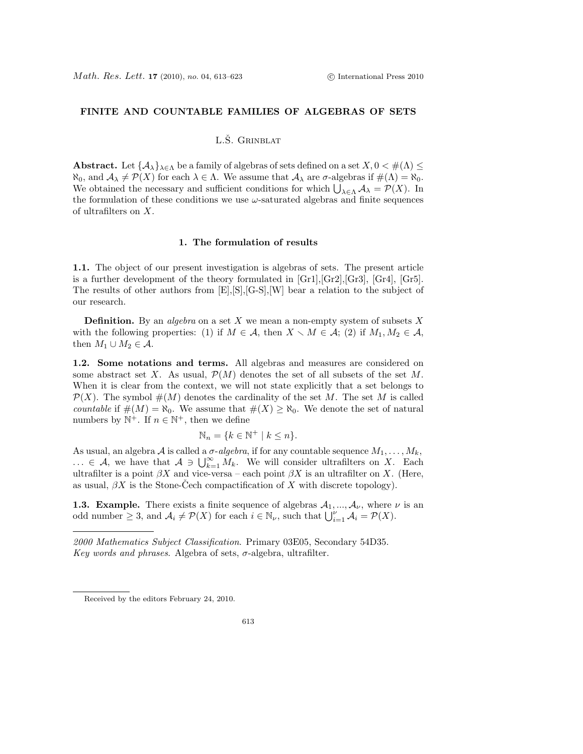# FINITE AND COUNTABLE FAMILIES OF ALGEBRAS OF SETS

## L.Š. GRINBLAT

Abstract. Let  $\{A_{\lambda}\}_{{\lambda \in \Lambda}}$  be a family of algebras of sets defined on a set  $X, 0 < \#(\Lambda) \leq$  $\aleph_0$ , and  $\mathcal{A}_{\lambda} \neq \mathcal{P}(X)$  for each  $\lambda \in \Lambda$ . We assume that  $\mathcal{A}_{\lambda}$  are  $\sigma$ -algebras if  $\#(\Lambda) = \aleph_0$ . We obtained the necessary and sufficient conditions for which  $\bigcup_{\lambda \in \Lambda} A_{\lambda} = \mathcal{P}(X)$ . In the formulation of these conditions we use  $\omega$ -saturated algebras and finite sequences of ultrafilters on X.

#### 1. The formulation of results

1.1. The object of our present investigation is algebras of sets. The present article is a further development of the theory formulated in [Gr1],[Gr2],[Gr3], [Gr4], [Gr5]. The results of other authors from [E],[S],[G-S],[W] bear a relation to the subject of our research.

**Definition.** By an *algebra* on a set X we mean a non-empty system of subsets X with the following properties: (1) if  $M \in \mathcal{A}$ , then  $X \setminus M \in \mathcal{A}$ ; (2) if  $M_1, M_2 \in \mathcal{A}$ , then  $M_1 \cup M_2 \in \mathcal{A}$ .

1.2. Some notations and terms. All algebras and measures are considered on some abstract set X. As usual,  $\mathcal{P}(M)$  denotes the set of all subsets of the set M. When it is clear from the context, we will not state explicitly that a set belongs to  $\mathcal{P}(X)$ . The symbol  $\#(M)$  denotes the cardinality of the set M. The set M is called countable if  $\#(M) = \aleph_0$ . We assume that  $\#(X) \geq \aleph_0$ . We denote the set of natural numbers by  $\mathbb{N}^+$ . If  $n \in \mathbb{N}^+$ , then we define

$$
\mathbb{N}_n = \{ k \in \mathbb{N}^+ \mid k \le n \}.
$$

As usual, an algebra A is called a  $\sigma$ -algebra, if for any countable sequence  $M_1, \ldots, M_k$ , ... ∈ A, we have that  $A \ni \bigcup_{k=1}^{\infty} M_k$ . We will consider ultrafilters on X. Each ultrafilter is a point  $\beta X$  and vice-versa – each point  $\beta X$  is an ultrafilter on X. (Here, as usual,  $\beta X$  is the Stone-Cech compactification of X with discrete topology).

**1.3. Example.** There exists a finite sequence of algebras  $A_1, ..., A_{\nu}$ , where  $\nu$  is an odd number  $\geq 3$ , and  $\mathcal{A}_i \neq \mathcal{P}(X)$  for each  $i \in \mathbb{N}_{\nu}$ , such that  $\bigcup_{i=1}^{\nu} \mathcal{A}_i = \mathcal{P}(X)$ .

2000 Mathematics Subject Classification. Primary 03E05, Secondary 54D35. Key words and phrases. Algebra of sets,  $\sigma$ -algebra, ultrafilter.

Received by the editors February 24, 2010.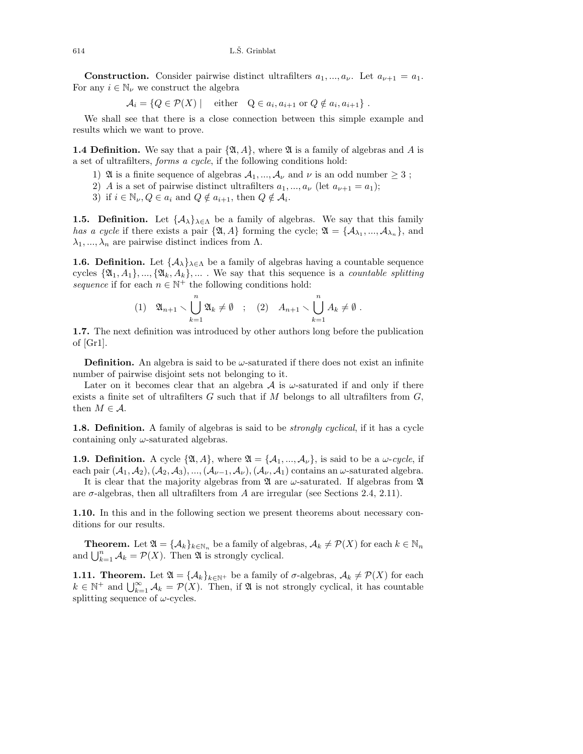**Construction.** Consider pairwise distinct ultrafilters  $a_1, ..., a_{\nu}$ . Let  $a_{\nu+1} = a_1$ . For any  $i \in \mathbb{N}_{\nu}$  we construct the algebra

$$
\mathcal{A}_i = \{ Q \in \mathcal{P}(X) \mid \text{ either } Q \in a_i, a_{i+1} \text{ or } Q \notin a_i, a_{i+1} \}.
$$

We shall see that there is a close connection between this simple example and results which we want to prove.

**1.4 Definition.** We say that a pair  $\{\mathfrak{A}, A\}$ , where  $\mathfrak{A}$  is a family of algebras and A is a set of ultrafilters, forms a cycle, if the following conditions hold:

- 1) A is a finite sequence of algebras  $A_1, ..., A_{\nu}$  and  $\nu$  is an odd number  $\geq 3$ ;
- 2) A is a set of pairwise distinct ultrafilters  $a_1, ..., a_{\nu}$  (let  $a_{\nu+1} = a_1$ );
- 3) if  $i \in \mathbb{N}_{\nu}, Q \in a_i$  and  $Q \notin a_{i+1}$ , then  $Q \notin A_i$ .

**1.5. Definition.** Let  $\{\mathcal{A}_{\lambda}\}_{\lambda \in \Lambda}$  be a family of algebras. We say that this family has a cycle if there exists a pair  $\{\mathfrak{A}, A\}$  forming the cycle;  $\mathfrak{A} = \{\mathcal{A}_{\lambda_1}, ..., \mathcal{A}_{\lambda_n}\}$ , and  $\lambda_1, ..., \lambda_n$  are pairwise distinct indices from  $\Lambda$ .

**1.6. Definition.** Let  $\{\mathcal{A}_{\lambda}\}_{\lambda \in \Lambda}$  be a family of algebras having a countable sequence cycles  $\{\mathfrak{A}_1, A_1\}, \ldots, \{\mathfrak{A}_k, A_k\}, \ldots$ . We say that this sequence is a *countable splitting* sequence if for each  $n \in \mathbb{N}^+$  the following conditions hold:

$$
(1) \quad \mathfrak{A}_{n+1} \smallsetminus \bigcup_{k=1}^{n} \mathfrak{A}_k \neq \emptyset \quad ; \quad (2) \quad A_{n+1} \smallsetminus \bigcup_{k=1}^{n} A_k \neq \emptyset \; .
$$

1.7. The next definition was introduced by other authors long before the publication of [Gr1].

**Definition.** An algebra is said to be  $\omega$ -saturated if there does not exist an infinite number of pairwise disjoint sets not belonging to it.

Later on it becomes clear that an algebra  $A$  is  $\omega$ -saturated if and only if there exists a finite set of ultrafilters  $G$  such that if  $M$  belongs to all ultrafilters from  $G$ , then  $M \in \mathcal{A}$ .

**1.8. Definition.** A family of algebras is said to be *strongly cyclical*, if it has a cycle containing only  $\omega$ -saturated algebras.

**1.9. Definition.** A cycle  $\{\mathfrak{A}, A\}$ , where  $\mathfrak{A} = \{A_1, ..., A_\nu\}$ , is said to be a  $\omega$ -cycle, if each pair  $(A_1, A_2), (A_2, A_3), ..., (A_{\nu-1}, A_{\nu}), (A_{\nu}, A_1)$  contains an  $\omega$ -saturated algebra. It is clear that the majority algebras from  $\mathfrak A$  are  $\omega$ -saturated. If algebras from  $\mathfrak A$ 

are  $\sigma$ -algebras, then all ultrafilters from A are irregular (see Sections 2.4, 2.11).

1.10. In this and in the following section we present theorems about necessary conditions for our results.

**Theorem.** Let  $\mathfrak{A} = {\mathcal{A}_k}_{k \in \mathbb{N}_n}$  be a family of algebras,  $\mathcal{A}_k \neq \mathcal{P}(X)$  for each  $k \in \mathbb{N}_n$ and  $\bigcup_{k=1}^{n} \mathcal{A}_k = \mathcal{P}(X)$ . Then  $\mathfrak{A}$  is strongly cyclical.

**1.11. Theorem.** Let  $\mathfrak{A} = {\{\mathcal{A}_k\}}_{k \in \mathbb{N}^+}$  be a family of  $\sigma$ -algebras,  $\mathcal{A}_k \neq \mathcal{P}(X)$  for each  $k \in \mathbb{N}^+$  and  $\bigcup_{k=1}^{\infty} A_k = \mathcal{P}(X)$ . Then, if  $\mathfrak A$  is not strongly cyclical, it has countable splitting sequence of  $\omega$ -cycles.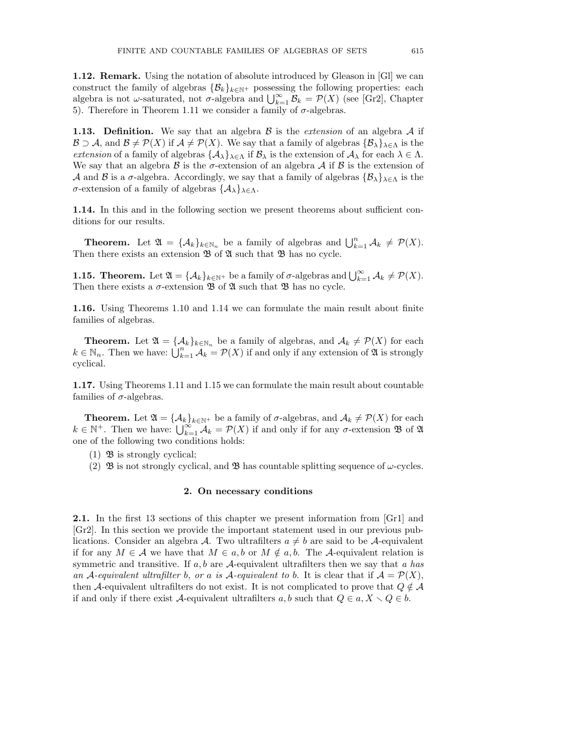1.12. Remark. Using the notation of absolute introduced by Gleason in [Gl] we can construct the family of algebras  $\{\mathcal{B}_k\}_{k\in\mathbb{N}^+}$  possessing the following properties: each algebra is not  $\omega$ -saturated, not  $\sigma$ -algebra and  $\bigcup_{k=1}^{\infty} \mathcal{B}_k = \mathcal{P}(X)$  (see [Gr2], Chapter 5). Therefore in Theorem 1.11 we consider a family of  $σ$ -algebras.

**1.13. Definition.** We say that an algebra  $\beta$  is the *extension* of an algebra  $\mathcal A$  if  $\mathcal{B} \supset \mathcal{A}$ , and  $\mathcal{B} \neq \mathcal{P}(X)$  if  $\mathcal{A} \neq \mathcal{P}(X)$ . We say that a family of algebras  $\{\mathcal{B}_{\lambda}\}_{\lambda \in \Lambda}$  is the extension of a family of algebras  $\{\mathcal{A}_{\lambda}\}_{\lambda \in \Lambda}$  if  $\mathcal{B}_{\lambda}$  is the extension of  $\mathcal{A}_{\lambda}$  for each  $\lambda \in \Lambda$ . We say that an algebra  $\beta$  is the  $\sigma$ -extension of an algebra  $\mathcal A$  if  $\beta$  is the extension of A and B is a  $\sigma$ -algebra. Accordingly, we say that a family of algebras  $\{\mathcal{B}_{\lambda}\}_{\lambda \in \Lambda}$  is the σ-extension of a family of algebras {Aλ}λ∈Λ.

1.14. In this and in the following section we present theorems about sufficient conditions for our results.

**Theorem.** Let  $\mathfrak{A} = {\mathcal{A}_k}_{k \in \mathbb{N}_n}$  be a family of algebras and  $\bigcup_{k=1}^n \mathcal{A}_k \neq \mathcal{P}(X)$ . Then there exists an extension  $\mathfrak{B}$  of  $\mathfrak{A}$  such that  $\mathfrak{B}$  has no cycle.

**1.15. Theorem.** Let  $\mathfrak{A} = {\{\mathcal{A}_k\}}_{k \in \mathbb{N}^+}$  be a family of  $\sigma$ -algebras and  $\bigcup_{k=1}^{\infty} \mathcal{A}_k \neq \mathcal{P}(X)$ . Then there exists a  $\sigma$ -extension  $\mathfrak{B}$  of  $\mathfrak A$  such that  $\mathfrak B$  has no cycle.

1.16. Using Theorems 1.10 and 1.14 we can formulate the main result about finite families of algebras.

**Theorem.** Let  $\mathfrak{A} = {\mathcal{A}_k}_{k \in \mathbb{N}_n}$  be a family of algebras, and  $\mathcal{A}_k \neq \mathcal{P}(X)$  for each  $k \in \mathbb{N}_n$ . Then we have:  $\bigcup_{k=1}^n \mathcal{A}_k = \mathcal{P}(X)$  if and only if any extension of  $\mathfrak{A}$  is strongly cyclical.

1.17. Using Theorems 1.11 and 1.15 we can formulate the main result about countable families of  $\sigma$ -algebras.

**Theorem.** Let  $\mathfrak{A} = {\mathcal{A}_k}_{k\in\mathbb{N}^+}$  be a family of  $\sigma$ -algebras, and  $\mathcal{A}_k \neq \mathcal{P}(X)$  for each  $k \in \mathbb{N}^+$ . Then we have:  $\bigcup_{k=1}^{\infty} A_k = \mathcal{P}(X)$  if and only if for any  $\sigma$ -extension  $\mathfrak{B}$  of  $\mathfrak{A}$ one of the following two conditions holds:

- (1)  $\mathfrak{B}$  is strongly cyclical;
- (2)  $\mathfrak{B}$  is not strongly cyclical, and  $\mathfrak{B}$  has countable splitting sequence of  $\omega$ -cycles.

## 2. On necessary conditions

2.1. In the first 13 sections of this chapter we present information from [Gr1] and [Gr2]. In this section we provide the important statement used in our previous publications. Consider an algebra A. Two ultrafilters  $a \neq b$  are said to be A-equivalent if for any  $M \in \mathcal{A}$  we have that  $M \in a, b$  or  $M \notin a, b$ . The A-equivalent relation is symmetric and transitive. If  $a, b$  are A-equivalent ultrafilters then we say that a has an A-equivalent ultrafilter b, or a is A-equivalent to b. It is clear that if  $\mathcal{A} = \mathcal{P}(X)$ , then A-equivalent ultrafilters do not exist. It is not complicated to prove that  $Q \notin \mathcal{A}$ if and only if there exist A-equivalent ultrafilters a, b such that  $Q \in a, X \setminus Q \in b$ .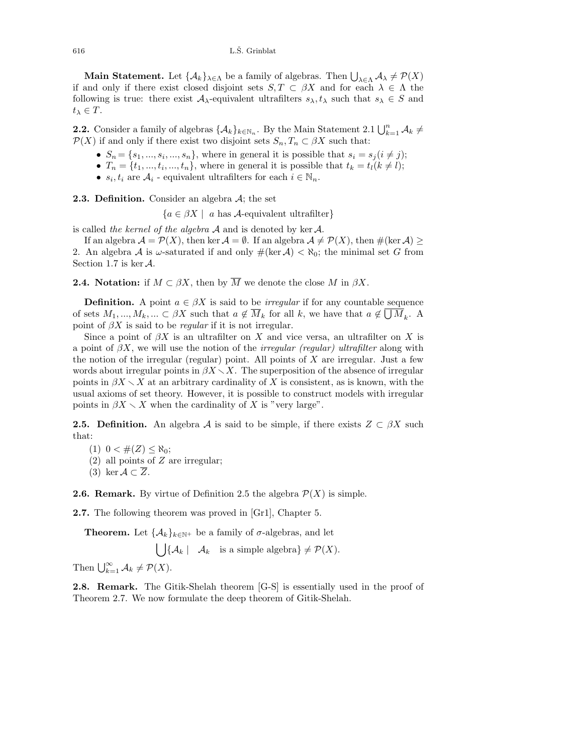**Main Statement.** Let  $\{A_k\}_{\lambda \in \Lambda}$  be a family of algebras. Then  $\bigcup_{\lambda \in \Lambda} A_\lambda \neq \mathcal{P}(X)$ if and only if there exist closed disjoint sets  $S, T \subset \beta X$  and for each  $\lambda \in \Lambda$  the following is true: there exist  $A_{\lambda}$ -equivalent ultrafilters  $s_{\lambda}, t_{\lambda}$  such that  $s_{\lambda} \in S$  and  $t_{\lambda} \in T$ .

**2.2.** Consider a family of algebras  $\{\mathcal{A}_k\}_{k\in\mathbb{N}_n}$ . By the Main Statement 2.1  $\bigcup_{k=1}^n \mathcal{A}_k \neq$  $\mathcal{P}(X)$  if and only if there exist two disjoint sets  $S_n, T_n \subset \beta X$  such that:

- $S_n = \{s_1, ..., s_i, ..., s_n\}$ , where in general it is possible that  $s_i = s_j (i \neq j)$ ;
- $T_n = \{t_1, ..., t_i, ..., t_n\}$ , where in general it is possible that  $t_k = t_l (k \neq l)$ ;
- $s_i, t_i$  are  $A_i$  equivalent ultrafilters for each  $i \in \mathbb{N}_n$ .

**2.3. Definition.** Consider an algebra  $A$ ; the set

 ${a \in \beta X \mid a \text{ has } \mathcal{A}$-equivalent ultrafilter}$ 

is called the kernel of the algebra  $A$  and is denoted by ker  $A$ .

If an algebra  $\mathcal{A} = \mathcal{P}(X)$ , then ker  $\mathcal{A} = \emptyset$ . If an algebra  $\mathcal{A} \neq \mathcal{P}(X)$ , then  $\#(\ker \mathcal{A}) \ge$ 2. An algebra A is  $\omega$ -saturated if and only  $\#(\ker A) < \aleph_0$ ; the minimal set G from Section 1.7 is ker  $\mathcal{A}$ .

**2.4. Notation:** if  $M \subset \beta X$ , then by  $\overline{M}$  we denote the close M in  $\beta X$ .

**Definition.** A point  $a \in \beta X$  is said to be *irregular* if for any countable sequence of sets  $M_1, ..., M_k, ... \subset \beta X$  such that  $a \notin \overline{M}_k$  for all k, we have that  $a \notin \bigcup M_k$ . A point of  $\beta X$  is said to be *regular* if it is not irregular.

Since a point of  $\beta X$  is an ultrafilter on X and vice versa, an ultrafilter on X is a point of  $\beta X$ , we will use the notion of the *irregular (regular) ultrafilter* along with the notion of the irregular (regular) point. All points of  $X$  are irregular. Just a few words about irregular points in  $\beta X \setminus X$ . The superposition of the absence of irregular points in  $\beta X \setminus X$  at an arbitrary cardinality of X is consistent, as is known, with the usual axioms of set theory. However, it is possible to construct models with irregular points in  $\beta X \setminus X$  when the cardinality of X is "very large".

**2.5. Definition.** An algebra A is said to be simple, if there exists  $Z \subset \beta X$  such that:

(1)  $0 < \#(Z) \leq \aleph_0$ ;

- (2) all points of Z are irregular;
- (3) ker  $A \subset \overline{Z}$ .

**2.6. Remark.** By virtue of Definition 2.5 the algebra  $\mathcal{P}(X)$  is simple.

2.7. The following theorem was proved in [Gr1], Chapter 5.

**Theorem.** Let  $\{\mathcal{A}_k\}_{k\in\mathbb{N}^+}$  be a family of  $\sigma$ -algebras, and let

 $\left| \int \mathcal{A}_k \: | \: \mathcal{A}_k \right|$  is a simple algebra  $\} \neq \mathcal{P}(X)$ .

Then  $\bigcup_{k=1}^{\infty} A_k \neq \mathcal{P}(X)$ .

2.8. Remark. The Gitik-Shelah theorem [G-S] is essentially used in the proof of Theorem 2.7. We now formulate the deep theorem of Gitik-Shelah.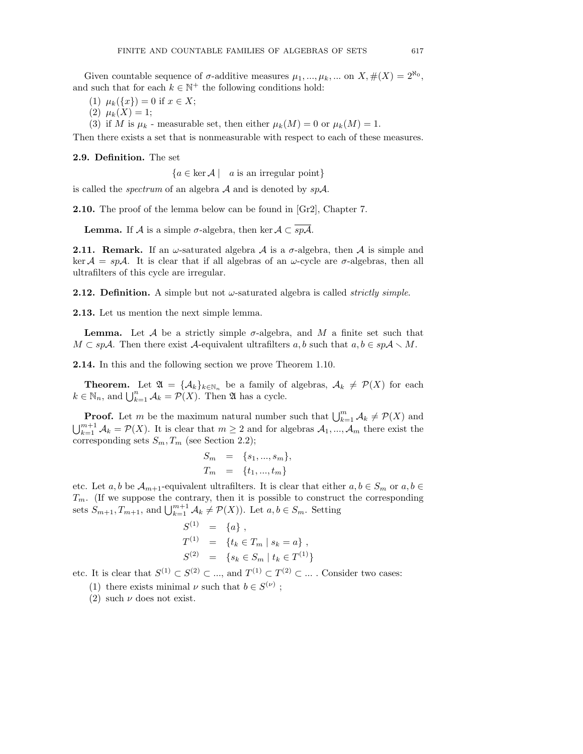Given countable sequence of  $\sigma$ -additive measures  $\mu_1, ..., \mu_k, ...$  on  $X, \#(X) = 2^{\aleph_0}$ , and such that for each  $k \in \mathbb{N}^+$  the following conditions hold:

- (1)  $\mu_k({x}) = 0$  if  $x \in X$ ;
- (2)  $\mu_k(X) = 1;$
- (3) if M is  $\mu_k$  measurable set, then either  $\mu_k(M) = 0$  or  $\mu_k(M) = 1$ .

Then there exists a set that is nonmeasurable with respect to each of these measures.

2.9. Definition. The set

 ${a \in \text{ker } \mathcal{A} \mid a \text{ is an irregular point}}$ 

is called the *spectrum* of an algebra  $A$  and is denoted by  $spA$ .

2.10. The proof of the lemma below can be found in [Gr2], Chapter 7.

**Lemma.** If A is a simple  $\sigma$ -algebra, then ker  $A \subset \overline{spA}$ .

**2.11. Remark.** If an  $\omega$ -saturated algebra  $\mathcal A$  is a  $\sigma$ -algebra, then  $\mathcal A$  is simple and ker  $A = spA$ . It is clear that if all algebras of an  $\omega$ -cycle are  $\sigma$ -algebras, then all ultrafilters of this cycle are irregular.

**2.12. Definition.** A simple but not  $\omega$ -saturated algebra is called *strictly simple*.

2.13. Let us mention the next simple lemma.

**Lemma.** Let A be a strictly simple  $\sigma$ -algebra, and M a finite set such that  $M \subset sp\mathcal{A}$ . Then there exist  $\mathcal{A}$ -equivalent ultrafilters a, b such that  $a, b \in sp\mathcal{A} \setminus M$ .

2.14. In this and the following section we prove Theorem 1.10.

**Theorem.** Let  $\mathfrak{A} = {\mathcal{A}_k}_{k\in\mathbb{N}_n}$  be a family of algebras,  $\mathcal{A}_k \neq \mathcal{P}(X)$  for each  $k \in \mathbb{N}_n$ , and  $\bigcup_{k=1}^n \mathcal{A}_k = \mathcal{P}(X)$ . Then  $\mathfrak{A}$  has a cycle.

**Proof.** Let m be the maximum natural number such that  $\bigcup_{k=1}^{m} A_k \neq \mathcal{P}(X)$  and  $\bigcup_{k=1}^{m+1} A_k = \mathcal{P}(X)$ . It is clear that  $m \geq 2$  and for algebras  $A_1, ..., A_m$  there exist the corresponding sets  $S_m, T_m$  (see Section 2.2);

$$
S_m = \{s_1, ..., s_m\},\,
$$
  

$$
T_m = \{t_1, ..., t_m\}
$$

etc. Let a, b be  $\mathcal{A}_{m+1}$ -equivalent ultrafilters. It is clear that either  $a, b \in S_m$  or  $a, b \in$  $T_m$ . (If we suppose the contrary, then it is possible to construct the corresponding sets  $S_{m+1}, T_{m+1}$ , and  $\bigcup_{k=1}^{m+1} A_k \neq \mathcal{P}(X)$ ). Let  $a, b \in S_m$ . Setting

$$
S^{(1)} = \{a\},
$$
  
\n
$$
T^{(1)} = \{t_k \in T_m \mid s_k = a\},
$$
  
\n
$$
S^{(2)} = \{s_k \in S_m \mid t_k \in T^{(1)}\}
$$

etc. It is clear that  $S^{(1)} \subset S^{(2)} \subset \ldots$ , and  $T^{(1)} \subset T^{(2)} \subset \ldots$ . Consider two cases:

(1) there exists minimal  $\nu$  such that  $b \in S^{(\nu)}$ ;

(2) such  $\nu$  does not exist.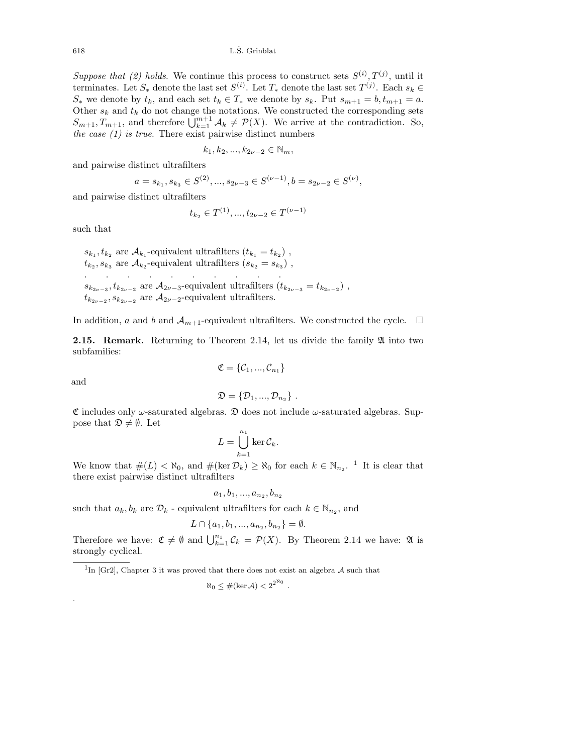$618$  L.S. Grinblat

Suppose that (2) holds. We continue this process to construct sets  $S^{(i)}, T^{(j)}$ , until it terminates. Let  $S_*$  denote the last set  $S^{(i)}$ . Let  $T_*$  denote the last set  $T^{(j)}$ . Each  $s_k \in$  $S_*$  we denote by  $t_k$ , and each set  $t_k \in T_*$  we denote by  $s_k$ . Put  $s_{m+1} = b$ ,  $t_{m+1} = a$ . Other  $s_k$  and  $t_k$  do not change the notations. We constructed the corresponding sets  $S_{m+1}, T_{m+1}$ , and therefore  $\bigcup_{k=1}^{m+1} A_k \neq \mathcal{P}(X)$ . We arrive at the contradiction. So, the case  $(1)$  is true. There exist pairwise distinct numbers

$$
k_1, k_2, ..., k_{2\nu-2} \in \mathbb{N}_m,
$$

and pairwise distinct ultrafilters

$$
a = s_{k_1}, s_{k_3} \in S^{(2)}, \dots, s_{2\nu - 3} \in S^{(\nu - 1)}, b = s_{2\nu - 2} \in S^{(\nu)},
$$

and pairwise distinct ultrafilters

$$
t_{k_2} \in T^{(1)}, ..., t_{2\nu-2} \in T^{(\nu-1)}
$$

such that

 $s_{k_1}, t_{k_2}$  are  $A_{k_1}$ -equivalent ultrafilters  $(t_{k_1} = t_{k_2})$ ,  $t_{k_2}, s_{k_3}$  are  $A_{k_2}$ -equivalent ultrafilters  $(s_{k_2} = s_{k_3})$ , . . . . . . . . . .  $s_{k_{2\nu-3}},t_{k_{2\nu-2}}$  are  $\mathcal{A}_{2\nu-3}$ -equivalent ultrafilters  $(t_{k_{2\nu-3}}=t_{k_{2\nu-2}})$ ,  $t_{k_{2\nu-2}}$ ,  $s_{k_{2\nu-2}}$  are  $A_{2\nu-2}$ -equivalent ultrafilters.

In addition, a and b and  $\mathcal{A}_{m+1}$ -equivalent ultrafilters. We constructed the cycle.  $\Box$ 

**2.15. Remark.** Returning to Theorem 2.14, let us divide the family  $\mathfrak{A}$  into two subfamilies:

$$
\mathfrak{C}=\{\mathcal{C}_1,...,\mathcal{C}_{n_1}\}
$$

and

.

$$
\mathfrak{D} = {\mathcal{D}_1, ..., \mathcal{D}_{n_2}}
$$
.

 $\mathfrak C$  includes only  $\omega$ -saturated algebras.  $\mathfrak D$  does not include  $\omega$ -saturated algebras. Suppose that  $\mathfrak{D} \neq \emptyset$ . Let

$$
L = \bigcup_{k=1}^{n_1} \ker \mathcal{C}_k.
$$

We know that  $\#(L) < \aleph_0$ , and  $\#(\ker \mathcal{D}_k) \ge \aleph_0$  for each  $k \in \mathbb{N}_{n_2}$ . <sup>1</sup> It is clear that there exist pairwise distinct ultrafilters

$$
a_1, b_1, ..., a_{n_2}, b_{n_2}
$$

such that  $a_k, b_k$  are  $\mathcal{D}_k$  - equivalent ultrafilters for each  $k \in \mathbb{N}_{n_2}$ , and

$$
L \cap \{a_1, b_1, ..., a_{n_2}, b_{n_2}\} = \emptyset.
$$

Therefore we have:  $\mathfrak{C} \neq \emptyset$  and  $\bigcup_{k=1}^{n_1} \mathcal{C}_k = \mathcal{P}(X)$ . By Theorem 2.14 we have:  $\mathfrak A$  is strongly cyclical.

<sup>1</sup>In [Gr2], Chapter 3 it was proved that there does not exist an algebra  $A$  such that

$$
\aleph_0 \leq #(\ker \mathcal{A}) < 2^{2^{\aleph_0}}.
$$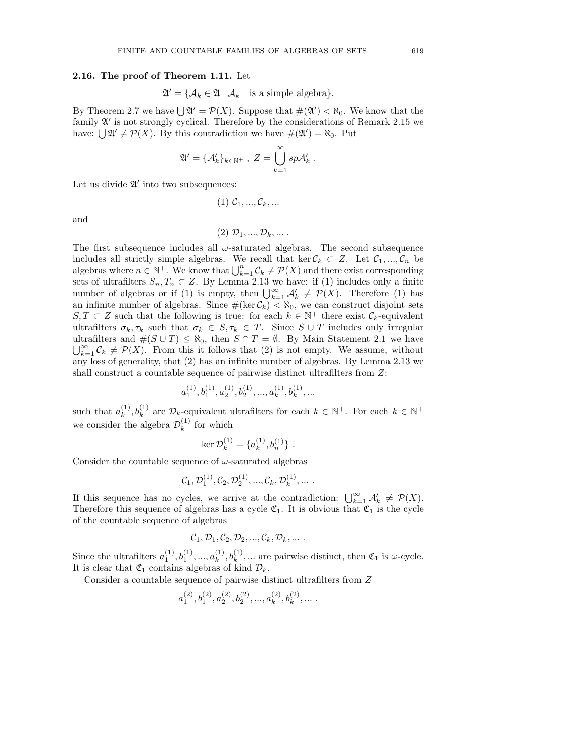#### 2.16. The proof of Theorem 1.11. Let

$$
\mathfrak{A}' = \{ \mathcal{A}_k \in \mathfrak{A} \mid \mathcal{A}_k \text{ is a simple algebra} \}.
$$

By Theorem 2.7 we have  $\bigcup \mathfrak{A}' = \mathcal{P}(X)$ . Suppose that  $\#(\mathfrak{A}') < \aleph_0$ . We know that the family  $\mathfrak{A}'$  is not strongly cyclical. Therefore by the considerations of Remark 2.15 we have:  $\bigcup \mathfrak{A}' \neq \mathcal{P}(X)$ . By this contradiction we have  $\#(\mathfrak{A}') = \aleph_0$ . Put

$$
\mathfrak{A}' = \{\mathcal{A}'_k\}_{k \in \mathbb{N}^+} , Z = \bigcup_{k=1}^{\infty} sp \mathcal{A}'_k .
$$

Let us divide  $\mathfrak{A}'$  into two subsequences:

$$
(1) \mathcal{C}_1, \ldots, \mathcal{C}_k, \ldots
$$

and

$$
(2) \mathcal{D}_1, \ldots, \mathcal{D}_k, \ldots
$$

The first subsequence includes all  $\omega$ -saturated algebras. The second subsequence includes all strictly simple algebras. We recall that ker  $\mathcal{C}_k \subset Z$ . Let  $\mathcal{C}_1, ..., \mathcal{C}_n$  be algebras where  $n \in \mathbb{N}^+$ . We know that  $\bigcup_{k=1}^n C_k \neq \mathcal{P}(X)$  and there exist corresponding sets of ultrafilters  $S_n, T_n \subset Z$ . By Lemma 2.13 we have: if (1) includes only a finite number of algebras or if (1) is empty, then  $\bigcup_{k=1}^{\infty} A'_k \neq \mathcal{P}(X)$ . Therefore (1) has an infinite number of algebras. Since  $\#(\ker \mathcal{C}_k) < \aleph_0$ , we can construct disjoint sets  $S, T \subset Z$  such that the following is true: for each  $k \in \mathbb{N}^+$  there exist  $\mathcal{C}_k$ -equivalent ultrafilters  $\sigma_k, \tau_k$  such that  $\sigma_k \in S, \tau_k \in T$ . Since  $S \cup T$  includes only irregular ultrafilters and  $\#(S \cup T) \leq \aleph_0$ , then  $\overline{S} \cap \overline{T} = \emptyset$ . By Main Statement 2.1 we have  $\bigcup_{k=1}^{\infty} C_k \neq \mathcal{P}(X)$ . From this it follows that (2) is not empty. We assume, without any loss of generality, that (2) has an infinite number of algebras. By Lemma 2.13 we shall construct a countable sequence of pairwise distinct ultrafilters from Z:

$$
a_1^{(1)}, b_1^{(1)}, a_2^{(1)}, b_2^{(1)}, ..., a_k^{(1)}, b_k^{(1)}, \ldots
$$

such that  $a_k^{(1)}$  $(k, b_k^{(1)}, b_k^{(1)}$  are  $\mathcal{D}_k$ -equivalent ultrafilters for each  $k \in \mathbb{N}^+$ . For each  $k \in \mathbb{N}^+$ we consider the algebra  $\mathcal{D}_k^{(1)}$  $k^{(1)}$  for which

$$
\ker \mathcal{D}_k^{(1)} = \{a_k^{(1)}, b_n^{(1)}\}.
$$

Consider the countable sequence of  $\omega$ -saturated algebras

$$
C_1, \mathcal{D}_1^{(1)}, C_2, \mathcal{D}_2^{(1)}, \ldots, C_k, \mathcal{D}_k^{(1)}, \ldots
$$

If this sequence has no cycles, we arrive at the contradiction:  $\bigcup_{k=1}^{\infty} A'_k \neq \mathcal{P}(X)$ . Therefore this sequence of algebras has a cycle  $\mathfrak{C}_1$ . It is obvious that  $\mathfrak{C}_1$  is the cycle of the countable sequence of algebras

$$
C_1, \mathcal{D}_1, C_2, \mathcal{D}_2, ..., C_k, \mathcal{D}_k, ...
$$

Since the ultrafilters  $a_1^{(1)}, b_1^{(1)}, ..., a_k^{(1)}$  $k_k^{(1)}, k_k^{(1)}, \dots$  are pairwise distinct, then  $\mathfrak{C}_1$  is  $\omega$ -cycle. It is clear that  $\mathfrak{C}_1$  contains algebras of kind  $\mathcal{D}_k$ .

Consider a countable sequence of pairwise distinct ultrafilters from Z

$$
a_1^{(2)}, b_1^{(2)}, a_2^{(2)}, b_2^{(2)}, \ldots, a_k^{(2)}, b_k^{(2)}, \ldots
$$
.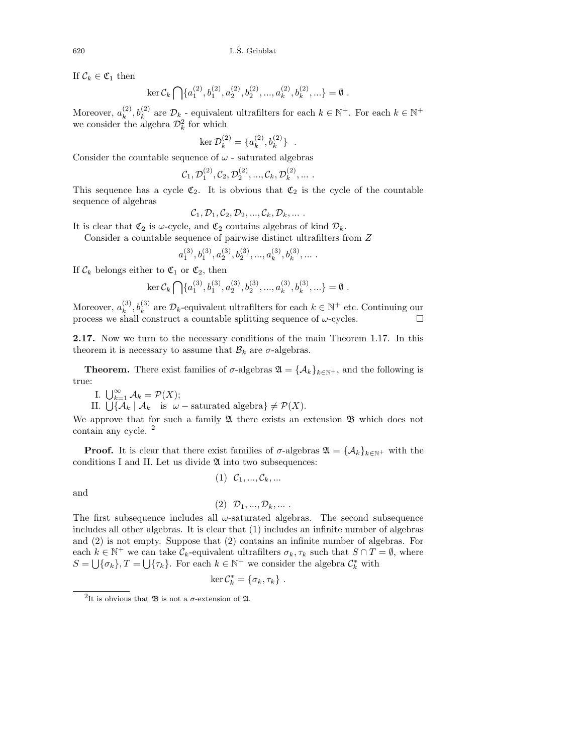If  $\mathcal{C}_k \in \mathfrak{C}_1$  then

$$
\ker \mathcal{C}_k \bigcap \{a_1^{(2)}, b_1^{(2)}, a_2^{(2)}, b_2^{(2)}, \dots, a_k^{(2)}, b_k^{(2)}, \dots\} = \emptyset.
$$

Moreover,  $a_k^{(2)}$  $(k, k)$  are  $\mathcal{D}_{k}$  - equivalent ultrafilters for each  $k \in \mathbb{N}^{+}$ . For each  $k \in \mathbb{N}^{+}$ we consider the algebra  $\mathcal{D}_k^2$  for which

$$
\ker \mathcal{D}_k^{(2)} = \{a_k^{(2)}, b_k^{(2)}\} .
$$

Consider the countable sequence of  $\omega$  - saturated algebras

$$
\mathcal{C}_1, \mathcal{D}_1^{(2)}, \mathcal{C}_2, \mathcal{D}_2^{(2)}, ..., \mathcal{C}_k, \mathcal{D}_k^{(2)}, ...
$$

This sequence has a cycle  $\mathfrak{C}_2$ . It is obvious that  $\mathfrak{C}_2$  is the cycle of the countable sequence of algebras

$$
\mathcal{C}_1, \mathcal{D}_1, \mathcal{C}_2, \mathcal{D}_2, ..., \mathcal{C}_k, \mathcal{D}_k, ...
$$

It is clear that  $\mathfrak{C}_2$  is  $\omega$ -cycle, and  $\mathfrak{C}_2$  contains algebras of kind  $\mathcal{D}_k$ .

Consider a countable sequence of pairwise distinct ultrafilters from Z

$$
a_1^{(3)}, b_1^{(3)}, a_2^{(3)}, b_2^{(3)}, ..., a_k^{(3)}, b_k^{(3)}, \ldots \,.
$$

If  $\mathcal{C}_k$  belongs either to  $\mathfrak{C}_1$  or  $\mathfrak{C}_2$ , then

$$
\ker \mathcal{C}_k \bigcap \{a_1^{(3)}, b_1^{(3)}, a_2^{(3)}, b_2^{(3)}, ..., a_k^{(3)}, b_k^{(3)}, ...\} = \emptyset.
$$

Moreover,  $a_k^{(3)}$  $(k, k)$  are  $\mathcal{D}_k$ -equivalent ultrafilters for each  $k \in \mathbb{N}^+$  etc. Continuing our process we shall construct a countable splitting sequence of  $\omega$ -cycles.

2.17. Now we turn to the necessary conditions of the main Theorem 1.17. In this theorem it is necessary to assume that  $B_k$  are  $\sigma$ -algebras.

**Theorem.** There exist families of  $\sigma$ -algebras  $\mathfrak{A} = {\mathcal{A}_k}_{k \in \mathbb{N}^+}$ , and the following is true:

I.  $\bigcup_{k=1}^{\infty} A_k = \mathcal{P}(X);$ 

II.  $\bigcup \{ A_k \mid A_k \text{ is } \omega-\text{saturated algebra} \} \neq \mathcal{P}(X).$ 

We approve that for such a family  $\mathfrak A$  there exists an extension  $\mathfrak B$  which does not contain any cycle. <sup>2</sup>

**Proof.** It is clear that there exist families of  $\sigma$ -algebras  $\mathfrak{A} = {\mathcal{A}_k}_{k \in \mathbb{N}^+}$  with the conditions I and II. Let us divide  $\mathfrak A$  into two subsequences:

$$
(1) \ \mathcal{C}_1, ..., \mathcal{C}_k, ...
$$

and

$$
(2) \mathcal{D}_1, ..., \mathcal{D}_k, ...
$$

The first subsequence includes all  $\omega$ -saturated algebras. The second subsequence includes all other algebras. It is clear that (1) includes an infinite number of algebras and (2) is not empty. Suppose that (2) contains an infinite number of algebras. For each  $k \in \mathbb{N}^+$  we can take  $\mathcal{C}_k$ -equivalent ultrafilters  $\sigma_k, \tau_k$  such that  $S \cap T = \emptyset$ , where  $S = \bigcup \{\sigma_k\}, T = \bigcup \{\tau_k\}.$  For each  $k \in \mathbb{N}^+$  we consider the algebra  $\mathcal{C}_k^*$  with

$$
\ker \mathcal{C}_k^* = \{\sigma_k, \tau_k\} .
$$

<sup>&</sup>lt;sup>2</sup>It is obvious that  $\mathfrak B$  is not a  $\sigma$ -extension of  $\mathfrak A$ .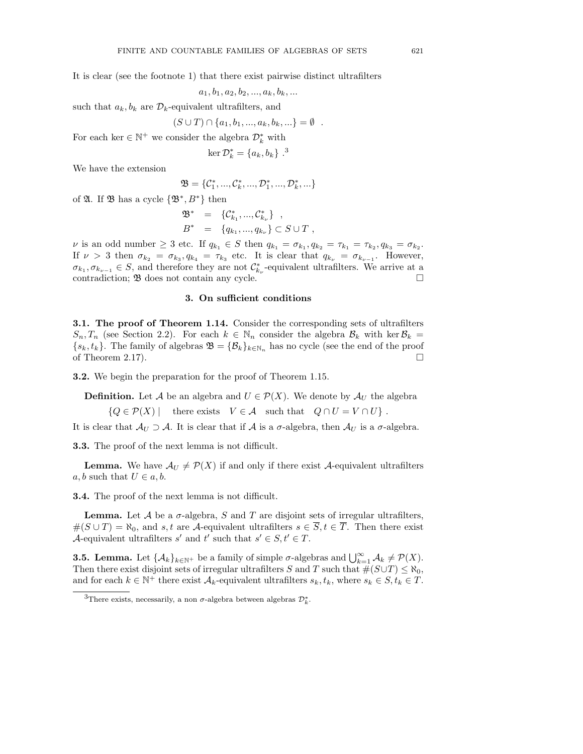It is clear (see the footnote 1) that there exist pairwise distinct ultrafilters

$$
a_1, b_1, a_2, b_2, ..., a_k, b_k, ...
$$

such that  $a_k, b_k$  are  $\mathcal{D}_k$ -equivalent ultrafilters, and

$$
(S \cup T) \cap \{a_1, b_1, ..., a_k, b_k, ...\} = \emptyset .
$$

For each ker  $\in \mathbb{N}^+$  we consider the algebra  $\mathcal{D}_k^*$  with

$$
\ker \mathcal{D}_k^* = \{a_k, b_k\}^{3}
$$

We have the extension

$$
\mathfrak{B} = \{\mathcal{C}_1^*, ..., \mathcal{C}_k^*, ..., \mathcal{D}_1^*, ..., \mathcal{D}_k^*, ...\}
$$

of  $\mathfrak A$ . If  $\mathfrak B$  has a cycle  $\{\mathfrak B^*,B^*\}$  then

$$
\mathfrak{B}^* = \{ \mathcal{C}_{k_1}^*, ..., \mathcal{C}_{k_{\nu}}^* \}, \nB^* = \{ q_{k_1}, ..., q_{k_{\nu}} \} \subset S \cup T ,
$$

*ν* is an odd number  $\geq 3$  etc. If  $q_{k_1} \in S$  then  $q_{k_1} = \sigma_{k_1}, q_{k_2} = \tau_{k_1} = \tau_{k_2}, q_{k_3} = \sigma_{k_2}$ . If  $\nu > 3$  then  $\sigma_{k_2} = \sigma_{k_3}$ ,  $q_{k_4} = \tau_{k_3}$  etc. It is clear that  $q_{k_\nu} = \sigma_{k_{\nu-1}}$ . However,  $\sigma_{k_1}, \sigma_{k_{\nu-1}} \in S$ , and therefore they are not  $\mathcal{C}_{k_{\nu}}^*$ -equivalent ultrafilters. We arrive at a contradiction;  $\mathfrak{B}$  does not contain any cycle.

## 3. On sufficient conditions

**3.1. The proof of Theorem 1.14.** Consider the corresponding sets of ultrafilters  $S_n, T_n$  (see Section 2.2). For each  $k \in \mathbb{N}_n$  consider the algebra  $\mathcal{B}_k$  with ker  $\mathcal{B}_k =$  ${s_k, t_k}$ . The family of algebras  $\mathfrak{B} = {\mathcal{B}_k}_{k \in \mathbb{N}_n}$  has no cycle (see the end of the proof of Theorem 2.17).

3.2. We begin the preparation for the proof of Theorem 1.15.

**Definition.** Let A be an algebra and  $U \in \mathcal{P}(X)$ . We denote by  $\mathcal{A}_U$  the algebra

 $\{Q \in \mathcal{P}(X) \mid \text{there exists } V \in \mathcal{A} \text{ such that } Q \cap U = V \cap U \}.$ 

It is clear that  $\mathcal{A}_U \supset \mathcal{A}$ . It is clear that if  $\mathcal A$  is a  $\sigma$ -algebra, then  $\mathcal{A}_U$  is a  $\sigma$ -algebra.

3.3. The proof of the next lemma is not difficult.

**Lemma.** We have  $\mathcal{A}_U \neq \mathcal{P}(X)$  if and only if there exist A-equivalent ultrafilters a, b such that  $U \in a, b$ .

3.4. The proof of the next lemma is not difficult.

**Lemma.** Let  $\mathcal A$  be a  $\sigma$ -algebra,  $S$  and  $T$  are disjoint sets of irregular ultrafilters,  $\#(S \cup T) = \aleph_0$ , and s, t are A-equivalent ultrafilters  $s \in \overline{S}, t \in \overline{T}$ . Then there exist A-equivalent ultrafilters s' and t' such that  $s' \in S, t' \in T$ .

**3.5. Lemma.** Let  $\{\mathcal{A}_k\}_{k\in\mathbb{N}^+}$  be a family of simple  $\sigma$ -algebras and  $\bigcup_{k=1}^{\infty} \mathcal{A}_k \neq \mathcal{P}(X)$ . Then there exist disjoint sets of irregular ultrafilters S and T such that  $\#(S \cup T) \leq \aleph_0$ , and for each  $k \in \mathbb{N}^+$  there exist  $\mathcal{A}_k$ -equivalent ultrafilters  $s_k, t_k$ , where  $s_k \in S, t_k \in T$ .

<sup>&</sup>lt;sup>3</sup>There exists, necessarily, a non  $\sigma$ -algebra between algebras  $\mathcal{D}_k^*$ .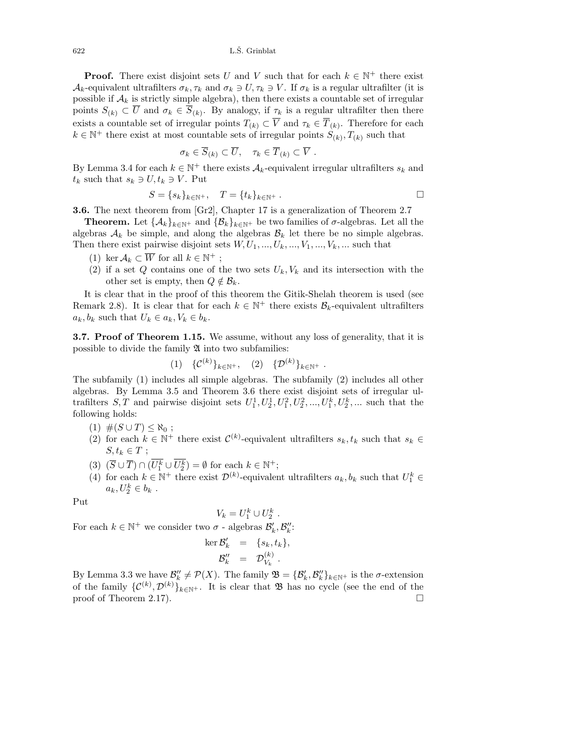$622$  L.S. Grinblat

**Proof.** There exist disjoint sets U and V such that for each  $k \in \mathbb{N}^+$  there exist  $\mathcal{A}_k$ -equivalent ultrafilters  $\sigma_k, \tau_k$  and  $\sigma_k \ni U, \tau_k \ni V$ . If  $\sigma_k$  is a regular ultrafilter (it is possible if  $A_k$  is strictly simple algebra), then there exists a countable set of irregular points  $S_{(k)} \subset U$  and  $\sigma_k \in S_{(k)}$ . By analogy, if  $\tau_k$  is a regular ultrafilter then there exists a countable set of irregular points  $T_{(k)} \subset \overline{V}$  and  $\tau_k \in \overline{T}_{(k)}$ . Therefore for each  $k \in \mathbb{N}^+$  there exist at most countable sets of irregular points  $S_{(k)}$ ,  $T_{(k)}$  such that

$$
\sigma_k \in \overline{S}_{(k)} \subset \overline{U}, \quad \tau_k \in \overline{T}_{(k)} \subset \overline{V} .
$$

By Lemma 3.4 for each  $k \in \mathbb{N}^+$  there exists  $\mathcal{A}_k$ -equivalent irregular ultrafilters  $s_k$  and  $t_k$  such that  $s_k \ni U, t_k \ni V$ . Put

$$
S = \{s_k\}_{k \in \mathbb{N}^+}, \quad T = \{t_k\}_{k \in \mathbb{N}^+}.
$$

3.6. The next theorem from [Gr2], Chapter 17 is a generalization of Theorem 2.7

**Theorem.** Let  $\{\mathcal{A}_k\}_{k\in\mathbb{N}^+}$  and  $\{\mathcal{B}_k\}_{k\in\mathbb{N}^+}$  be two families of  $\sigma$ -algebras. Let all the algebras  $A_k$  be simple, and along the algebras  $B_k$  let there be no simple algebras. Then there exist pairwise disjoint sets  $W, U_1, ..., U_k, ..., V_1, ..., V_k, ...$  such that

- (1) ker  $\mathcal{A}_k \subset \overline{W}$  for all  $k \in \mathbb{N}^+$ ;
- (2) if a set Q contains one of the two sets  $U_k, V_k$  and its intersection with the other set is empty, then  $Q \notin \mathcal{B}_k$ .

It is clear that in the proof of this theorem the Gitik-Shelah theorem is used (see Remark 2.8). It is clear that for each  $k \in \mathbb{N}^+$  there exists  $\mathcal{B}_k$ -equivalent ultrafilters  $a_k, b_k$  such that  $U_k \in a_k, V_k \in b_k$ .

3.7. Proof of Theorem 1.15. We assume, without any loss of generality, that it is possible to divide the family A into two subfamilies:

$$
(1) \quad \{ \mathcal{C}^{(k)} \}_{k \in \mathbb{N}^+}, \quad (2) \quad \{ \mathcal{D}^{(k)} \}_{k \in \mathbb{N}^+} .
$$

The subfamily (1) includes all simple algebras. The subfamily (2) includes all other algebras. By Lemma 3.5 and Theorem 3.6 there exist disjoint sets of irregular ultrafilters  $S, T$  and pairwise disjoint sets  $U_1^1, U_2^1, U_1^2, U_2^2, ..., U_1^k, U_2^k, ...$  such that the following holds:

- $(1)$  # $(S \cup T)$  ≤  $\aleph_0$ ;
- (2) for each  $k \in \mathbb{N}^+$  there exist  $\mathcal{C}^{(k)}$ -equivalent ultrafilters  $s_k, t_k$  such that  $s_k \in \mathbb{N}$  $S, t_k \in T;$
- (3)  $(\overline{S} \cup \overline{T}) \cap (\overline{U_1^k} \cup \overline{U_2^k}) = \emptyset$  for each  $k \in \mathbb{N}^+$ ;
- (4) for each  $k \in \mathbb{N}^+$  there exist  $\mathcal{D}^{(k)}$ -equivalent ultrafilters  $a_k, b_k$  such that  $U_1^k \in$  $a_k, U_2^k \in b_k$ .

.

Put

$$
V_k=U_1^k\cup U_2^k
$$

 $V_k = U_1^k \cup U_2^k$ .<br>For each  $k \in \mathbb{N}^+$  we consider two  $\sigma$  - algebras  $\mathcal{B}'_k, \mathcal{B}''_k$ :

$$
\ker \mathcal{B}'_k = \{s_k, t_k\},
$$
  

$$
\mathcal{B}''_k = \mathcal{D}^{(k)}_{V_k}.
$$

By Lemma 3.3 we have  $\mathcal{B}'_k \neq \mathcal{P}(X)$ . The family  $\mathfrak{B} = {\mathcal{B}'_k, \mathcal{B}''_k}_{k \in \mathbb{N}^+}$  is the  $\sigma$ -extension of the family  $\{\mathcal{C}^{(k)}, \mathcal{D}^{(k)}\}_{k\in\mathbb{N}^+}$ . It is clear that **B** has no cycle (see the end of the proof of Theorem 2.17).